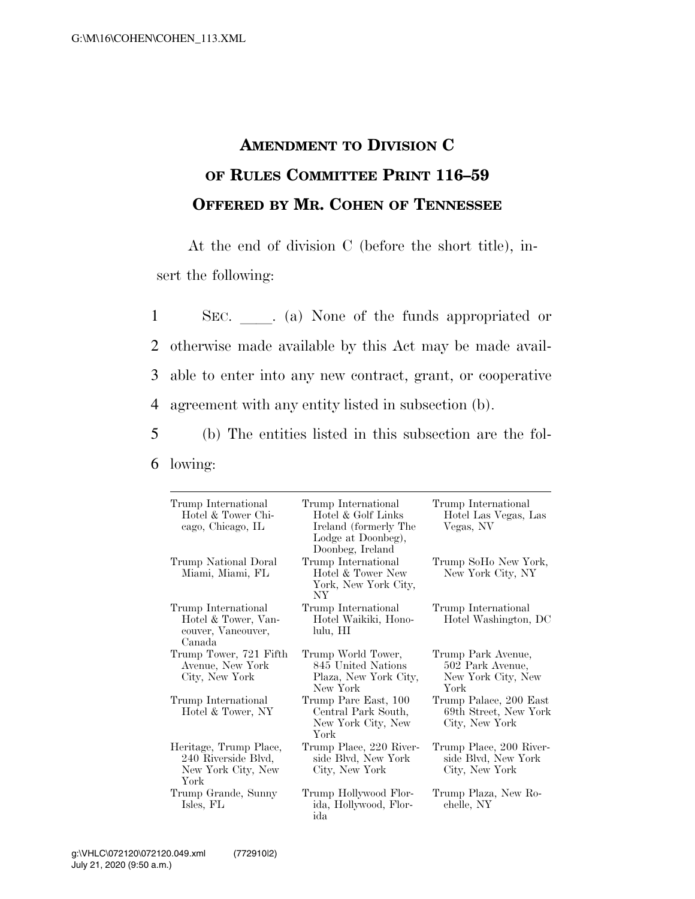## **AMENDMENT TO DIVISION C OF RULES COMMITTEE PRINT 116–59 OFFERED BY MR. COHEN OF TENNESSEE**

At the end of division C (before the short title), insert the following:

1 SEC. a) None of the funds appropriated or otherwise made available by this Act may be made avail- able to enter into any new contract, grant, or cooperative agreement with any entity listed in subsection (b).

5 (b) The entities listed in this subsection are the fol-6 lowing:

| Trump International<br>Hotel & Tower Chi-<br>cago, Chicago, IL              | Trump International<br>Hotel & Golf Links<br>Ireland (formerly The<br>Lodge at Doonbeg),<br>Doonbeg, Ireland | Trump International<br>Hotel Las Vegas, Las<br>Vegas, NV             |
|-----------------------------------------------------------------------------|--------------------------------------------------------------------------------------------------------------|----------------------------------------------------------------------|
| Trump National Doral<br>Miami, Miami, FL                                    | Trump International<br>Hotel & Tower New<br>York, New York City,<br>NY <sub></sub>                           | Trump SoHo New York,<br>New York City, NY                            |
| Trump International<br>Hotel & Tower, Van-<br>couver, Vancouver,<br>Canada  | Trump International<br>Hotel Waikiki, Hono-<br>lulu, HI                                                      | Trump International<br>Hotel Washington, DC                          |
| Trump Tower, 721 Fifth<br>Avenue, New York<br>City, New York                | Trump World Tower,<br>845 United Nations<br>Plaza, New York City,<br>New York                                | Trump Park Avenue,<br>502 Park Avenue,<br>New York City, New<br>York |
| Trump International<br>Hotel & Tower, NY                                    | Trump Parc East, 100<br>Central Park South,<br>New York City, New<br>York                                    | Trump Palace, 200 East<br>69th Street, New York<br>City, New York    |
| Heritage, Trump Place,<br>240 Riverside Blvd,<br>New York City, New<br>York | Trump Place, 220 River-<br>side Blvd, New York<br>City, New York                                             | Trump Place, 200 River-<br>side Blvd, New York<br>City, New York     |
| Trump Grande, Sunny<br>Isles, FL                                            | Trump Hollywood Flor-<br>ida, Hollywood, Flor-<br>ida                                                        | Trump Plaza, New Ro-<br>chelle, NY                                   |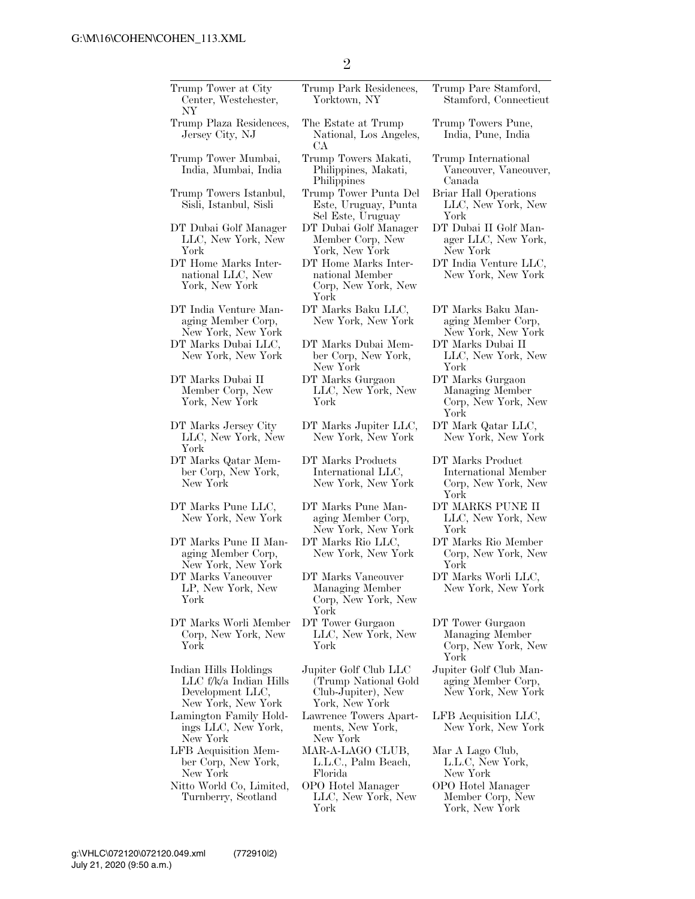| Trump Tower at City<br>Center, Westchester,<br>NΥ                                           | Trump Park Residences,<br>Yorktown, NY                                                | Trump Pare Stamford,<br>Stamford, Connecticut                           |
|---------------------------------------------------------------------------------------------|---------------------------------------------------------------------------------------|-------------------------------------------------------------------------|
| Trump Plaza Residences,<br>Jersey City, NJ                                                  | The Estate at Trump<br>National, Los Angeles,<br>CА                                   | Trump Towers Pune,<br>India, Pune, India                                |
| Trump Tower Mumbai,<br>India, Mumbai, India                                                 | Trump Towers Makati,<br>Philippines, Makati,<br>Philippines                           | Trump International<br>Vancouver, Vancouver,<br>Canada                  |
| Trump Towers Istanbul,<br>Sisli, Istanbul, Sisli                                            | Trump Tower Punta Del<br>Este, Uruguay, Punta<br>Sel Este, Uruguay                    | Briar Hall Operations<br>LLC, New York, New<br>York                     |
| DT Dubai Golf Manager<br>LLC, New York, New<br>York                                         | DT Dubai Golf Manager<br>Member Corp, New<br>York, New York                           | DT Dubai II Golf Man-<br>ager LLC, New York,<br>New York                |
| DT Home Marks Inter-<br>national LLC, New<br>York, New York                                 | DT Home Marks Inter-<br>national Member<br>Corp, New York, New<br>York                | DT India Venture LLC,<br>New York, New York                             |
| DT India Venture Man-<br>aging Member Corp,<br>New York, New York                           | DT Marks Baku LLC,<br>New York, New York                                              | DT Marks Baku Man-<br>aging Member Corp,<br>New York, New York          |
| DT Marks Dubai LLC,<br>New York, New York                                                   | DT Marks Dubai Mem-<br>ber Corp, New York,<br>New York                                | DT Marks Dubai II<br>LLC, New York, New<br>York                         |
| DT Marks Dubai II<br>Member Corp, New<br>York, New York                                     | DT Marks Gurgaon<br>LLC, New York, New<br>York                                        | DT Marks Gurgaon<br>Managing Member<br>Corp, New York, New<br>York      |
| DT Marks Jersey City<br>LLC, New York, New<br>York                                          | DT Marks Jupiter LLC,<br>New York, New York                                           | DT Mark Qatar LLC,<br>New York, New York                                |
| DT Marks Qatar Mem-<br>ber Corp, New York,<br>New York                                      | DT Marks Products<br>International LLC,<br>New York, New York                         | DT Marks Product<br>International Member<br>Corp, New York, New<br>York |
| DT Marks Pune LLC,<br>New York, New York                                                    | DT Marks Pune Man-<br>aging Member Corp,<br>New York, New York                        | DT MARKS PUNE II<br>LLC, New York, New<br>York                          |
| DT Marks Pune II Man-<br>aging Member Corp,<br>New York, New York                           | DT Marks Rio LLC,<br>New York, New York                                               | DT Marks Rio Member<br>Corp, New York, New<br>York                      |
| DT Marks Vancouver<br>LP, New York, New<br>York                                             | DT Marks Vancouver<br>Managing Member<br>Corp, New York, New<br>York                  | DT Marks Worli LLC,<br>New York, New York                               |
| DT Marks Worli Member<br>Corp, New York, New<br>York                                        | DT Tower Gurgaon<br>LLC, New York, New<br>York                                        | DT Tower Gurgaon<br>Managing Member<br>Corp, New York, New<br>York      |
| Indian Hills Holdings<br>$LLC$ f/k/a Indian Hills<br>Development LLC,<br>New York, New York | Jupiter Golf Club LLC<br>(Trump National Gold<br>Club-Jupiter), New<br>York, New York | Jupiter Golf Club Man-<br>aging Member Corp,<br>New York, New York      |
| Lamington Family Hold-<br>ings LLC, New York,<br>New York                                   | Lawrence Towers Apart-<br>ments, New York,<br>New York                                | LFB Acquisition LLC,<br>New York, New York                              |
| LFB Acquisition Mem-<br>ber Corp, New York,<br>New York                                     | MAR-A-LAGO CLUB,<br>L.L.C., Palm Beach,<br>Florida                                    | Mar A Lago Club,<br>L.L.C, New York,<br>New York                        |
| Nitto World Co, Limited,                                                                    | OPO Hotel Manager                                                                     | OPO Hotel Manager                                                       |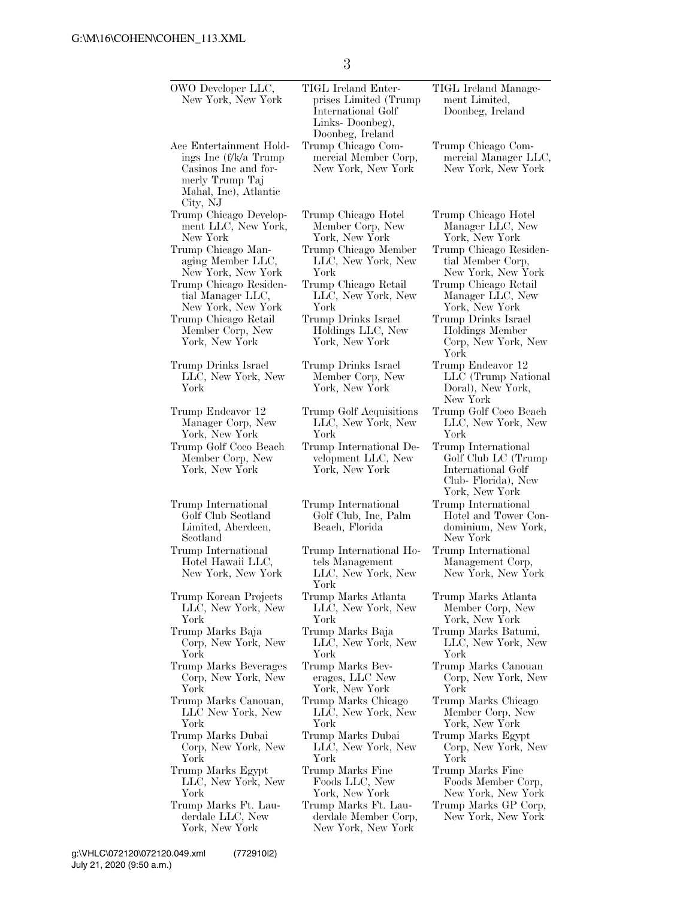3

| OWO Developer LLC,<br>New York, New York                                                                                          | TIGL Ireland Enter-<br>prises Limited (Trump<br>International Golf<br>Links-Doonbeg),<br>Doonbeg, Ireland | TIGL Ireland Manage-<br>ment Limited,<br>Doonbeg, Ireland                                                |
|-----------------------------------------------------------------------------------------------------------------------------------|-----------------------------------------------------------------------------------------------------------|----------------------------------------------------------------------------------------------------------|
| Ace Entertainment Hold-<br>ings Inc (f/k/a Trump)<br>Casinos Inc and for-<br>merly Trump Taj<br>Mahal, Inc), Atlantic<br>City, NJ | Trump Chicago Com-<br>mercial Member Corp,<br>New York, New York                                          | Trump Chicago Com-<br>mercial Manager LLC,<br>New York, New York                                         |
| Trump Chicago Develop-                                                                                                            | Trump Chicago Hotel                                                                                       | Trump Chicago Hotel                                                                                      |
| ment LLC, New York,                                                                                                               | Member Corp, New                                                                                          | Manager LLC, New                                                                                         |
| New York                                                                                                                          | York, New York                                                                                            | York, New York                                                                                           |
| Trump Chicago Man-                                                                                                                | Trump Chicago Member                                                                                      | Trump Chicago Residen-                                                                                   |
| aging Member LLC,                                                                                                                 | LLC, New York, New                                                                                        | tial Member Corp,                                                                                        |
| New York, New York                                                                                                                | York                                                                                                      | New York, New York                                                                                       |
| Trump Chicago Residen-                                                                                                            | Trump Chicago Retail                                                                                      | Trump Chicago Retail                                                                                     |
| tial Manager LLC,                                                                                                                 | LLC, New York, New                                                                                        | Manager LLC, New                                                                                         |
| New York, New York                                                                                                                | York                                                                                                      | York, New York                                                                                           |
| Trump Chicago Retail<br>Member Corp, New<br>York, New York                                                                        | Trump Drinks Israel<br>Holdings LLC, New<br>York, New York                                                | Trump Drinks Israel<br>Holdings Member<br>Corp, New York, New<br>York                                    |
| Trump Drinks Israel<br>LLC, New York, New<br>York                                                                                 | Trump Drinks Israel<br>Member Corp, New<br>York, New York                                                 | Trump Endeavor 12<br>LLC (Trump National<br>Doral), New York,<br>New York                                |
| Trump Endeavor 12                                                                                                                 | Trump Golf Acquisitions                                                                                   | Trump Golf Coco Beach                                                                                    |
| Manager Corp, New                                                                                                                 | LLC, New York, New                                                                                        | LLC, New York, New                                                                                       |
| York, New York                                                                                                                    | York                                                                                                      | York                                                                                                     |
| Trump Golf Coco Beach<br>Member Corp, New<br>York, New York                                                                       | Trump International De-<br>velopment LLC, New<br>York, New York                                           | Trump International<br>Golf Club LC (Trump<br>International Golf<br>Club-Florida), New<br>York, New York |
| Trump International<br>Golf Club Scotland<br>Limited, Aberdeen,<br>Scotland                                                       | Trump International<br>Golf Club, Inc, Palm<br>Beach, Florida                                             | Trump International<br>Hotel and Tower Con-<br>dominium, New York,<br>New York                           |
| Trump International<br>Hotel Hawaii LLC,<br>New York, New York                                                                    | Trump International Ho-<br>tels Management<br>LLC, New York, New<br>York                                  | Trump International<br>Management Corp,<br>New York, New York                                            |
| Trump Korean Projects                                                                                                             | Trump Marks Atlanta                                                                                       | Trump Marks Atlanta                                                                                      |
| LLC, New York, New                                                                                                                | LLC, New York, New                                                                                        | Member Corp, New                                                                                         |
| York                                                                                                                              | York                                                                                                      | York, New York                                                                                           |
| Trump Marks Baja                                                                                                                  | Trump Marks Baja                                                                                          | Trump Marks Batumi,                                                                                      |
| Corp, New York, New                                                                                                               | LLC, New York, New                                                                                        | LLC, New York, New                                                                                       |
| York                                                                                                                              | York                                                                                                      | York                                                                                                     |
| Trump Marks Beverages                                                                                                             | Trump Marks Bev-                                                                                          | Trump Marks Canouan                                                                                      |
| Corp, New York, New                                                                                                               | erages, LLC New                                                                                           | Corp, New York, New                                                                                      |
| York                                                                                                                              | York, New York                                                                                            | York                                                                                                     |
| Trump Marks Canouan,                                                                                                              | Trump Marks Chicago                                                                                       | Trump Marks Chicago                                                                                      |
| LLC New York, New                                                                                                                 | LLC, New York, New                                                                                        | Member Corp, New                                                                                         |
| York                                                                                                                              | York                                                                                                      | York, New York                                                                                           |
| Trump Marks Dubai                                                                                                                 | Trump Marks Dubai                                                                                         | Trump Marks Egypt                                                                                        |
| Corp, New York, New                                                                                                               | LLC, New York, New                                                                                        | Corp, New York, New                                                                                      |
| York                                                                                                                              | York                                                                                                      | York                                                                                                     |
| Trump Marks Egypt                                                                                                                 | Trump Marks Fine                                                                                          | Trump Marks Fine                                                                                         |
| LLC, New York, New                                                                                                                | Foods LLC, New                                                                                            | Foods Member Corp,                                                                                       |
| York                                                                                                                              | York, New York                                                                                            | New York, New York                                                                                       |
| Trump Marks Ft. Lau-<br>derdale LLC, New<br>York, New York                                                                        | Trump Marks Ft. Lau-<br>derdale Member Corp,<br>New York, New York                                        | Trump Marks GP Corp,<br>New York, New York                                                               |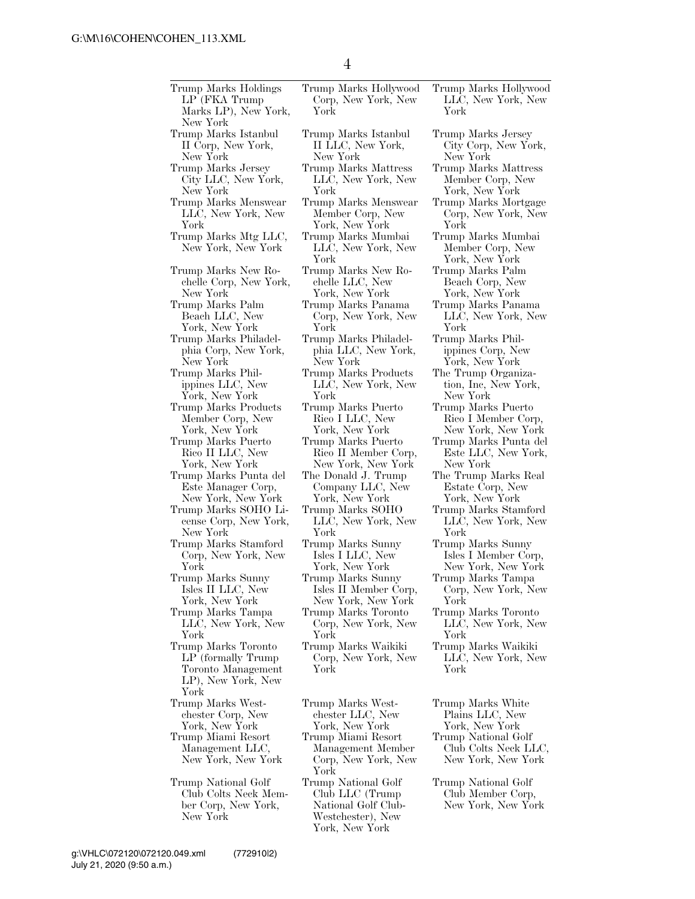| Trump Marks Holdings<br>LP (FKA Trump)<br>Marks LP), New York,<br>New York                                              | Trump Marks Hollywood<br>Corp, New York, New<br>York                                                                              | Trump Marks Hollywood<br>LLC, New York, New<br>York                                                                         |
|-------------------------------------------------------------------------------------------------------------------------|-----------------------------------------------------------------------------------------------------------------------------------|-----------------------------------------------------------------------------------------------------------------------------|
| Trump Marks Istanbul                                                                                                    | Trump Marks Istanbul                                                                                                              | Trump Marks Jersey                                                                                                          |
| II Corp, New York,                                                                                                      | II LLC, New York,                                                                                                                 | City Corp, New York,                                                                                                        |
| New York                                                                                                                | New York                                                                                                                          | New York                                                                                                                    |
| Trump Marks Jersey                                                                                                      | Trump Marks Mattress                                                                                                              | Trump Marks Mattress                                                                                                        |
| City LLC, New York,                                                                                                     | LLC, New York, New                                                                                                                | Member Corp, New                                                                                                            |
| New York                                                                                                                | York                                                                                                                              | York, New York                                                                                                              |
| Trump Marks Menswear                                                                                                    | Trump Marks Menswear                                                                                                              | Trump Marks Mortgage                                                                                                        |
| LLC, New York, New                                                                                                      | Member Corp, New                                                                                                                  | Corp, New York, New                                                                                                         |
| York                                                                                                                    | York, New York                                                                                                                    | York                                                                                                                        |
| Trump Marks Mtg LLC,                                                                                                    | Trump Marks Mumbai                                                                                                                | Trump Marks Mumbai                                                                                                          |
| New York, New York<br>Trump Marks New Ro-<br>chelle Corp, New York,<br>New York                                         | LLC, New York, New<br>York<br>Trump Marks New Ro-<br>chelle LLC, New<br>York, New York                                            | Member Corp, New<br>York, New York<br>Trump Marks Palm<br>Beach Corp, New<br>York, New York                                 |
| Trump Marks Palm                                                                                                        | Trump Marks Panama                                                                                                                | Trump Marks Panama                                                                                                          |
| Beach LLC, New                                                                                                          | Corp, New York, New                                                                                                               | LLC, New York, New                                                                                                          |
| York, New York                                                                                                          | York                                                                                                                              | York                                                                                                                        |
| Trump Marks Philadel-                                                                                                   | Trump Marks Philadel-                                                                                                             | Trump Marks Phil-                                                                                                           |
| phia Corp, New York,                                                                                                    | phia LLC, New York,                                                                                                               | ippines Corp, New                                                                                                           |
| New York                                                                                                                | New York                                                                                                                          | York, New York                                                                                                              |
| Trump Marks Phil-                                                                                                       | Trump Marks Products                                                                                                              | The Trump Organiza-                                                                                                         |
| ippines LLC, New                                                                                                        | LLC, New York, New                                                                                                                | tion, Inc, New York,                                                                                                        |
| York, New York                                                                                                          | York                                                                                                                              | New York                                                                                                                    |
| Trump Marks Products                                                                                                    | Trump Marks Puerto                                                                                                                | Trump Marks Puerto                                                                                                          |
| Member Corp, New                                                                                                        | Rico I LLC, New                                                                                                                   | Rico I Member Corp,                                                                                                         |
| York, New York                                                                                                          | York, New York                                                                                                                    | New York, New York                                                                                                          |
| Trump Marks Puerto                                                                                                      | Trump Marks Puerto                                                                                                                | Trump Marks Punta del                                                                                                       |
| Rico II LLC, New                                                                                                        | Rico II Member Corp,                                                                                                              | Este LLC, New York,                                                                                                         |
| York, New York                                                                                                          | New York, New York                                                                                                                | New York                                                                                                                    |
| Trump Marks Punta del                                                                                                   | The Donald J. Trump                                                                                                               | The Trump Marks Real                                                                                                        |
| Este Manager Corp,                                                                                                      | Company LLC, New                                                                                                                  | Estate Corp, New                                                                                                            |
| New York, New York                                                                                                      | York, New York                                                                                                                    | York, New York                                                                                                              |
| Trump Marks SOHO Li-                                                                                                    | Trump Marks SOHO                                                                                                                  | Trump Marks Stamford                                                                                                        |
| cense Corp, New York,                                                                                                   | LLC, New York, New                                                                                                                | LLC, New York, New                                                                                                          |
| New York                                                                                                                | York                                                                                                                              | York                                                                                                                        |
| Trump Marks Stamford                                                                                                    | Trump Marks Sunny                                                                                                                 | Trump Marks Sunny                                                                                                           |
| Corp, New York, New                                                                                                     | Isles I LLC, New                                                                                                                  | Isles I Member Corp,                                                                                                        |
| York                                                                                                                    | York, New York                                                                                                                    | New York, New York                                                                                                          |
| Trump Marks Sunny                                                                                                       | Trump Marks Sunny                                                                                                                 | Trump Marks Tampa                                                                                                           |
| Isles II LLC, New                                                                                                       | Isles II Member Corp,                                                                                                             | Corp, New York, New                                                                                                         |
| York, New York                                                                                                          | New York, New York                                                                                                                | York                                                                                                                        |
| Trump Marks Tampa                                                                                                       | Trump Marks Toronto                                                                                                               | Trump Marks Toronto                                                                                                         |
| LLC, New York, New                                                                                                      | Corp, New York, New                                                                                                               | LLC, New York, New                                                                                                          |
| York                                                                                                                    | York                                                                                                                              | York                                                                                                                        |
| Trump Marks Toronto<br>LP (formally Trump)<br>Toronto Management<br>LP), New York, New<br>York                          | Trump Marks Waikiki<br>Corp, New York, New<br>York                                                                                | Trump Marks Waikiki<br>LLC, New York, New<br>York                                                                           |
| Trump Marks West-<br>chester Corp, New<br>York, New York<br>Trump Miami Resort<br>Management LLC,<br>New York, New York | Trump Marks West-<br>chester LLC, New<br>York, New York<br>Trump Miami Resort<br>Management Member<br>Corp, New York, New<br>York | Trump Marks White<br>Plains LLC, New<br>York, New York<br>Trump National Golf<br>Club Colts Neck LLC,<br>New York, New York |
| Trump National Golf<br>Club Colts Neck Mem-<br>ber Corp, New York,<br>New York                                          | Trump National Golf<br>Club LLC (Trump)<br>National Golf Club-<br>Westchester), New<br>York, New York                             | Trump National Golf<br>Club Member Corp,<br>New York, New York                                                              |

Marks Jersey Corp, New York, York  ${\rm Marks}$  Mattress ber Corp, New New York Marks Mortgage New York, New York Marks Mumbai ber Corp, New New York Marks Palm h Corp, New York, New York Marks Panama New York, New York Marks Philes Corp, New New York ump Organiza-Inc, New York, York Marks Puerto I Member Corp, New York, New York Marks Punta del LLC, New York, York ump Marks Real Estate Corp, New York, New York Marks Stamford New York, New York Marks Sunny I Member Corp, New York, New York Marks Tampa New York, New York Marks Toronto New York, New York Marks Waikiki New York, New York Marks White is LLC, New York, New York National Golf

4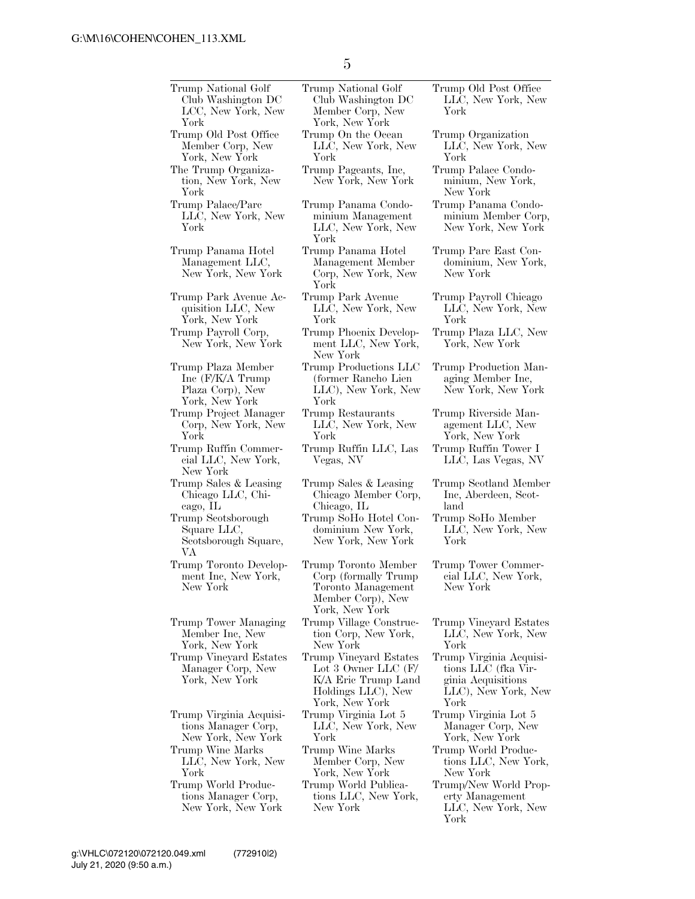Trump National Golf Club Washington DC LCC, New York, New York Trump National Golf Club Washington DC Member Corp, New York, New York Trump Old Post Office Member Corp, New York, New York Trump On the Ocean LLC, New York, New York The Trump Organization, New York, New York Trump Pageants, Inc, New York, New York Trump Palace/Parc LLC, New York, New York Trump Panama Condominium Management LLC, New York, New York Trump Panama Hotel Management LLC, New York, New York Trump Panama Hotel Management Member Corp, New York, New York Trump Park Avenue Acquisition LLC, New York, New York Trump Park Avenue LLC, New York, New York Trump Payroll Corp, New York, New York Trump Phoenix Development LLC, New York, New York Trump Plaza Member Inc (F/K/A Trump Plaza Corp), New York, New York Trump Productions LLC (former Rancho Lien LLC), New York, New York Trump Project Manager Corp, New York, New York Trump Restaurants LLC, New York, New York Trump Ruffin Commercial LLC, New York, New York Trump Ruffin LLC, Las Vegas, NV LLC, Las Vegas, NV Trump Sales & Leasing Chicago LLC, Chicago, IL Trump Sales & Leasing Chicago Member Corp, Chicago, IL Trump Scotsborough Square LLC, Scotsborough Square, VA Trump SoHo Hotel Condominium New York, New York, New York Trump Toronto Development Inc, New York, New York Trump Toronto Member Corp (formally Trump Toronto Management Member Corp), New York, New York Trump Tower Managing Member Inc, New York, New York Trump Village Construction Corp, New York, New York Trump Vineyard Estates Manager Corp, New York, New York Trump Vineyard Estates Lot 3 Owner LLC (F/ K/A Eric Trump Land Holdings LLC), New York, New York Trump Virginia Acquisitions Manager Corp, New York, New York Trump Virginia Lot 5 LLC, New York, New York Trump Wine Marks LLC, New York, New York Trump Wine Marks Member Corp, New York, New York Trump World Productions Manager Corp, New York, New York Trump World Publications LLC, New York, New York

Trump Old Post Office LLC, New York, New York

Trump Organization LLC, New York, New York

Trump Palace Condominium, New York, New York

Trump Panama Condominium Member Corp, New York, New York

Trump Parc East Condominium, New York, New York

Trump Payroll Chicago LLC, New York, New York

Trump Plaza LLC, New York, New York

Trump Production Managing Member Inc, New York, New York

Trump Riverside Management LLC, New York, New York Trump Ruffin Tower I

Trump Scotland Member Inc, Aberdeen, Scot-

land Trump SoHo Member

LLC, New York, New York

Trump Tower Commercial LLC, New York, New York

Trump Vineyard Estates LLC, New York, New York

Trump Virginia Acquisitions LLC (fka Virginia Acquisitions LLC), New York, New York

Trump Virginia Lot 5 Manager Corp, New York, New York

- Trump World Productions LLC, New York, New York
- Trump/New World Property Management LLC, New York, New York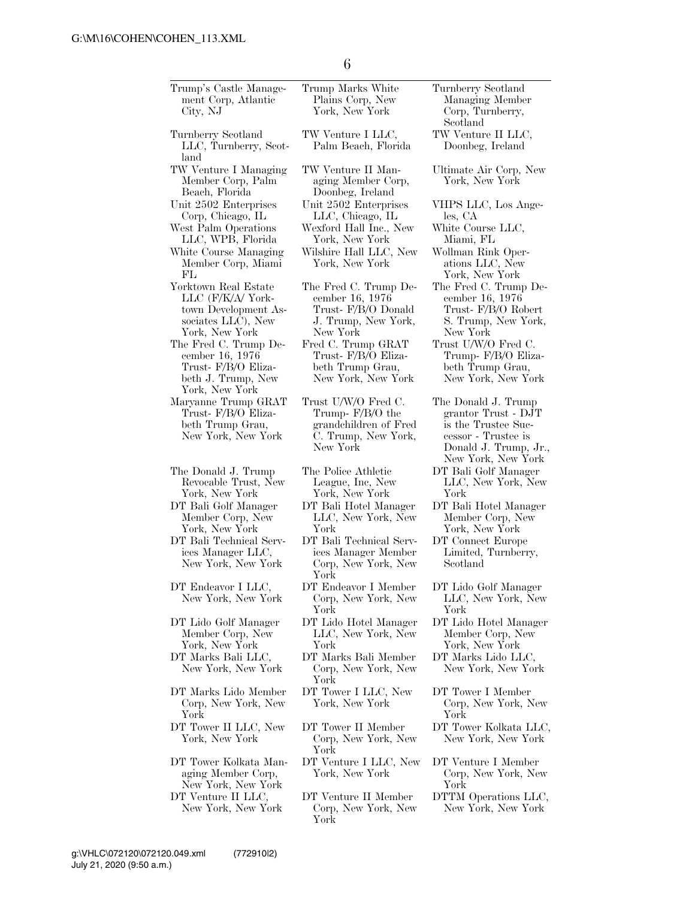| Trump's Castle Manage-<br>ment Corp, Atlantic<br>City, NJ                                                 | Trump Marks White<br>Plains Corp, New<br>York, New York                                             | Turnberry Scotland<br>Managing Member<br>Corp, Turnberry,<br>Scotland                                                                   |
|-----------------------------------------------------------------------------------------------------------|-----------------------------------------------------------------------------------------------------|-----------------------------------------------------------------------------------------------------------------------------------------|
| Turnberry Scotland<br>LLC, Turnberry, Scot-<br>land                                                       | TW Venture I LLC,<br>Palm Beach, Florida                                                            | TW Venture II LLC,<br>Doonbeg, Ireland                                                                                                  |
| TW Venture I Managing<br>Member Corp, Palm<br>Beach, Florida                                              | TW Venture II Man-<br>aging Member Corp,<br>Doonbeg, Ireland                                        | Ultimate Air Corp, New<br>York, New York                                                                                                |
| Unit 2502 Enterprises<br>Corp, Chicago, IL                                                                | Unit 2502 Enterprises<br>LLC, Chicago, IL                                                           | VHPS LLC, Los Ange-<br>les, CA                                                                                                          |
| West Palm Operations<br>LLC, WPB, Florida                                                                 | Wexford Hall Inc., New<br>York, New York                                                            | White Course LLC,<br>Miami, FL                                                                                                          |
| White Course Managing<br>Member Corp, Miami<br>FL                                                         | Wilshire Hall LLC, New<br>York, New York                                                            | Wollman Rink Oper-<br>ations LLC, New<br>York, New York                                                                                 |
| Yorktown Real Estate<br>LLC (F/K/A/ York-<br>town Development As-<br>sociates LLC), New<br>York, New York | The Fred C. Trump De-<br>cember 16, 1976<br>Trust- F/B/O Donald<br>J. Trump, New York,<br>New York  | The Fred C. Trump De-<br>cember 16, 1976<br>Trust- F/B/O Robert<br>S. Trump, New York,<br>New York                                      |
| The Fred C. Trump De-<br>cember 16, 1976<br>Trust- F/B/O Eliza-<br>beth J. Trump, New<br>York, New York   | Fred C. Trump GRAT<br>Trust- F/B/O Eliza-<br>beth Trump Grau,<br>New York, New York                 | Trust U/W/O Fred C.<br>Trump- F/B/O Eliza-<br>beth Trump Grau,<br>New York, New York                                                    |
| Maryanne Trump GRAT<br>Trust- F/B/O Eliza-<br>beth Trump Grau,<br>New York, New York                      | Trust U/W/O Fred C.<br>Trump- F/B/O the<br>grandchildren of Fred<br>C. Trump, New York,<br>New York | The Donald J. Trump<br>grantor Trust - DJT<br>is the Trustee Suc-<br>cessor - Trustee is<br>Donald J. Trump, Jr.,<br>New York, New York |
| The Donald J. Trump<br>Revocable Trust, New<br>York, New York                                             | The Police Athletic<br>League, Inc, New<br>York, New York                                           | DT Bali Golf Manager<br>LLC, New York, New<br>York                                                                                      |
| DT Bali Golf Manager<br>Member Corp, New<br>York, New York                                                | DT Bali Hotel Manager<br>LLC, New York, New<br>York                                                 | DT Bali Hotel Manager<br>Member Corp, New<br>York, New York                                                                             |
| DT Bali Technical Serv-<br>ices Manager LLC,<br>New York, New York                                        | DT Bali Technical Serv-<br>ices Manager Member<br>Corp, New York, New<br>York                       | DT Connect Europe<br>Limited, Turnberry,<br>Scotland                                                                                    |
| DT Endeavor I LLC,<br>New York, New York                                                                  | DT Endeavor I Member<br>Corp, New York, New<br>York                                                 | DT Lido Golf Manager<br>LLC, New York, New<br>York                                                                                      |
| DT Lido Golf Manager<br>Member Corp, New<br>York, New York                                                | DT Lido Hotel Manager<br>LLC, New York, New<br>York                                                 | DT Lido Hotel Manager<br>Member Corp, New<br>York, New York                                                                             |
| DT Marks Bali LLC,<br>New York, New York                                                                  | DT Marks Bali Member<br>Corp, New York, New<br>York                                                 | DT Marks Lido LLC,<br>New York, New York                                                                                                |
| DT Marks Lido Member<br>Corp, New York, New<br>York                                                       | DT Tower I LLC, New<br>York, New York                                                               | DT Tower I Member<br>Corp, New York, New<br>York                                                                                        |
| DT Tower II LLC, New<br>York, New York                                                                    | DT Tower II Member<br>Corp, New York, New<br>York                                                   | DT Tower Kolkata LLC,<br>New York, New York                                                                                             |
| DT Tower Kolkata Man-<br>aging Member Corp,<br>New York, New York                                         | DT Venture I LLC, New<br>York, New York                                                             | DT Venture I Member<br>Corp, New York, New<br>York                                                                                      |
| DT Venture II LLC,<br>New York, New York                                                                  | DT Venture II Member<br>Corp, New York, New<br>York                                                 | DTTM Operations LLC,<br>New York, New York                                                                                              |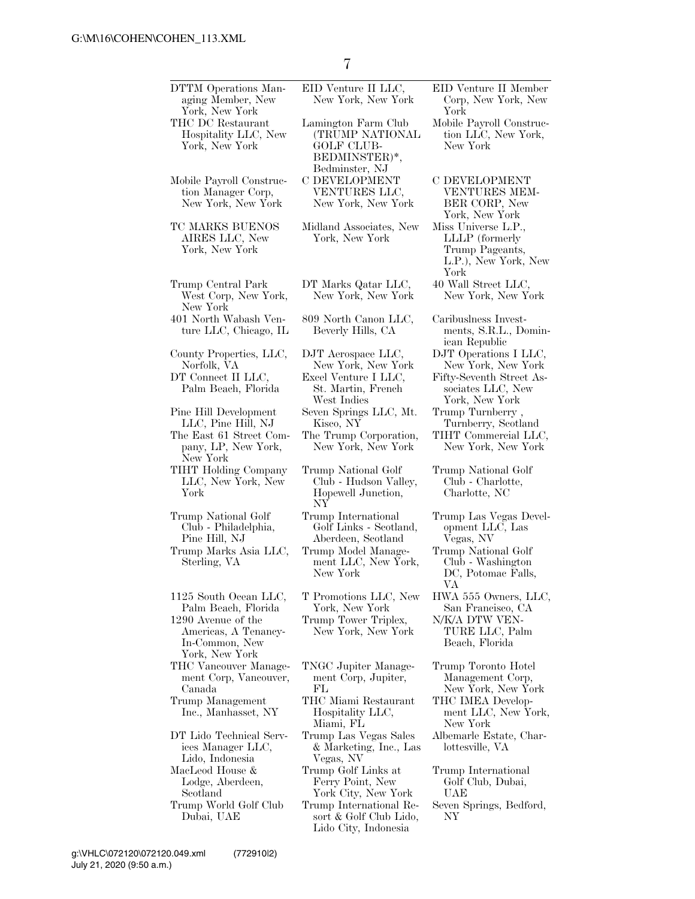| DTTM Operations Man-<br>aging Member, New                                                                                      | EID Venture II LLC,<br>New York, New York                                              | EID Venture II Member<br>Corp, New York, New                                                    |
|--------------------------------------------------------------------------------------------------------------------------------|----------------------------------------------------------------------------------------|-------------------------------------------------------------------------------------------------|
| York, New York<br>THC DC Restaurant<br>Hospitality LLC, New<br>York, New York                                                  | Lamington Farm Club<br>(TRUMP NATIONAL<br><b>GOLF CLUB-</b><br>BEDMINSTER)*,           | York<br>Mobile Payroll Construc-<br>tion LLC, New York,<br>New York                             |
| Mobile Payroll Construc-<br>tion Manager Corp,<br>New York, New York                                                           | Bedminster, NJ<br>C DEVELOPMENT<br>VENTURES LLC,<br>New York, New York                 | <b>C DEVELOPMENT</b><br>VENTURES MEM-<br>BER CORP, New<br>York, New York                        |
| TC MARKS BUENOS<br>AIRES LLC, New<br>York, New York                                                                            | Midland Associates, New<br>York, New York                                              | Miss Universe L.P.,<br>LLLP (formerly<br>Trump Pageants,<br>L.P.), New York, New<br>York        |
| Trump Central Park<br>West Corp, New York,<br>New York                                                                         | DT Marks Qatar LLC,<br>New York, New York                                              | 40 Wall Street LLC,<br>New York, New York                                                       |
| 401 North Wabash Ven-<br>ture LLC, Chicago, IL                                                                                 | 809 North Canon LLC,<br>Beverly Hills, CA                                              | Caribuslness Invest-<br>ments, S.R.L., Domin-<br>ican Republic                                  |
| County Properties, LLC,<br>Norfolk, VA<br>DT Connect II LLC,<br>Palm Beach, Florida                                            | DJT Aerospace LLC,<br>New York, New York<br>Excel Venture I LLC,<br>St. Martin, French | DJT Operations I LLC,<br>New York, New York<br>Fifty-Seventh Street As-<br>sociates LLC, New    |
| Pine Hill Development                                                                                                          | West Indies<br>Seven Springs LLC, Mt.                                                  | York, New York<br>Trump Turnberry,                                                              |
| LLC, Pine Hill, NJ<br>The East 61 Street Com-<br>pany, LP, New York,<br>New York                                               | Kisco, NY<br>The Trump Corporation,<br>New York, New York                              | Turnberry, Scotland<br>TIHT Commercial LLC,<br>New York, New York                               |
| TIHT Holding Company<br>LLC, New York, New<br>York                                                                             | Trump National Golf<br>Club - Hudson Valley,<br>Hopewell Junction,<br>NY               | Trump National Golf<br>Club - Charlotte,<br>Charlotte, NC                                       |
| Trump National Golf<br>Club - Philadelphia,<br>Pine Hill, NJ                                                                   | Trump International<br>Golf Links - Scotland,<br>Aberdeen, Scotland                    | Trump Las Vegas Devel-<br>opment LLC, Las<br>Vegas, NV                                          |
| Trump Marks Asia LLC,<br>Sterling, VA                                                                                          | Trump Model Manage-<br>ment LLC, New York,<br>New York                                 | Trump National Golf<br>Club - Washington<br>DC, Potomac Falls,<br>VА                            |
| 1125 South Ocean LLC,<br>Palm Beach, Florida<br>1290 Avenue of the<br>Americas, A Tenancy-<br>In-Common, New<br>York, New York | T Promotions LLC, New<br>York, New York<br>Trump Tower Triplex,<br>New York, New York  | HWA 555 Owners, LLC,<br>San Francisco, CA<br>N/K/A DTW VEN-<br>TURE LLC, Palm<br>Beach, Florida |
| THC Vancouver Manage-<br>ment Corp, Vancouver,<br>Canada                                                                       | TNGC Jupiter Manage-<br>ment Corp, Jupiter,<br>FL                                      | Trump Toronto Hotel<br>Management Corp,<br>New York, New York                                   |
| Trump Management<br>Inc., Manhasset, NY                                                                                        | THC Miami Restaurant<br>Hospitality LLC,<br>Miami, FL                                  | THC IMEA Develop-<br>ment LLC, New York,<br>New York                                            |
| DT Lido Technical Serv-<br>ices Manager LLC,<br>Lido, Indonesia                                                                | Trump Las Vegas Sales<br>& Marketing, Inc., Las<br>Vegas, NV                           | Albemarle Estate, Char-<br>lottesville, VA                                                      |
| MacLeod House &<br>Lodge, Aberdeen,<br>Scotland                                                                                | Trump Golf Links at<br>Ferry Point, New<br>York City, New York                         | Trump International<br>Golf Club, Dubai,<br>UAE                                                 |
| Trump World Golf Club<br>Dubai, UAE                                                                                            | Trump International Re-<br>sort & Golf Club Lido,<br>Lido City, Indonesia              | Seven Springs, Bedford,<br>NΥ                                                                   |

July 21, 2020 (9:50 a.m.) g:\VHLC\072120\072120.049.xml (772910|2)